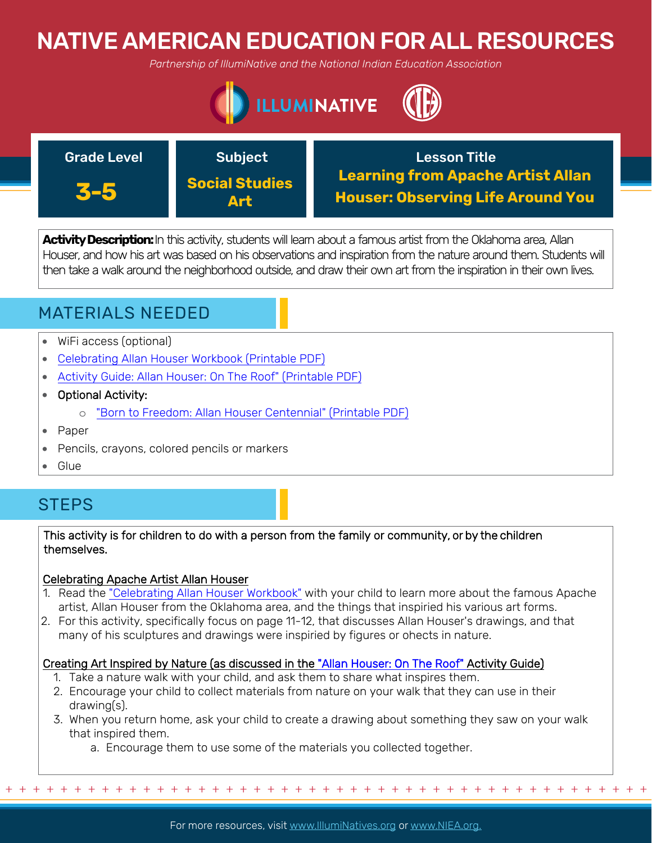# NATIVE AMERICAN EDUCATION FOR ALL RESOURCES

*Partnership of IllumiNative and the National Indian Education Association*





**Activity Description:**In this activity, students will learn about a famous artist from the Oklahoma area, Allan Houser, and how his art was based on his observations and inspiration from the nature around them. Students will then take a walk around the neighborhood outside, and draw their own art from the inspiration in their own lives.

# MATERIALS NEEDED

- WiFi access (optional)
- [Celebrating Allan Houser Workbook \(Printable PDF\)](https://nie.newsok.com/wp-content/uploads/Celebrating-Allan-Houser-Workbook.pdf)
- [Activity Guide: Allan Houser: On The Roof" \(Printable PDF\)](https://nie.newsok.com/wp-content/uploads/Houser-Lesson-7.pdf)
- Optional Activity:
	- o ["Born to Freedom: Allan Houser Centennial" \(Printable PDF\)](https://nie.newsok.com/wp-content/uploads/Houser-Lesson-1.pdf)
- Paper
- Pencils, crayons, colored pencils or markers
- Glue

# **STEPS**

## This activity is for children to do with a person from the family or community, or by the children themselves.

## Celebrating Apache Artist Allan Houser

- 1. Read the ["Celebrating Allan Houser Workbook"](https://nie.newsok.com/wp-content/uploads/Celebrating-Allan-Houser-Workbook.pdf) with your child to learn more about the famous Apache artist, Allan Houser from the Oklahoma area, and the things that inspiried his various art forms.
- 2. For this activity, specifically focus on page 11-12, that discusses Allan Houser's drawings, and that many of his sculptures and drawings were inspiried by figures or ohects in nature.

## Creating Art Inspired by Nature (as discussed in the ["Allan Houser: On The Roof"](https://nie.newsok.com/wp-content/uploads/Houser-Lesson-7.pdf) Activity Guide)

- 1. Take a nature walk with your child, and ask them to share what inspires them.
- 2. Encourage your child to collect materials from nature on your walk that they can use in their drawing(s).
- 3. When you return home, ask your child to create a drawing about something they saw on your walk that inspired them.
	- a. Encourage them to use some of the materials you collected together.

+ + + + + + + + + + + + + + + + + + + + + + + + + + + + + + + + + + + + + + + + + + + + + + + +

For more resources, visit www.lllumiNatives.org or www.NIEA.org.